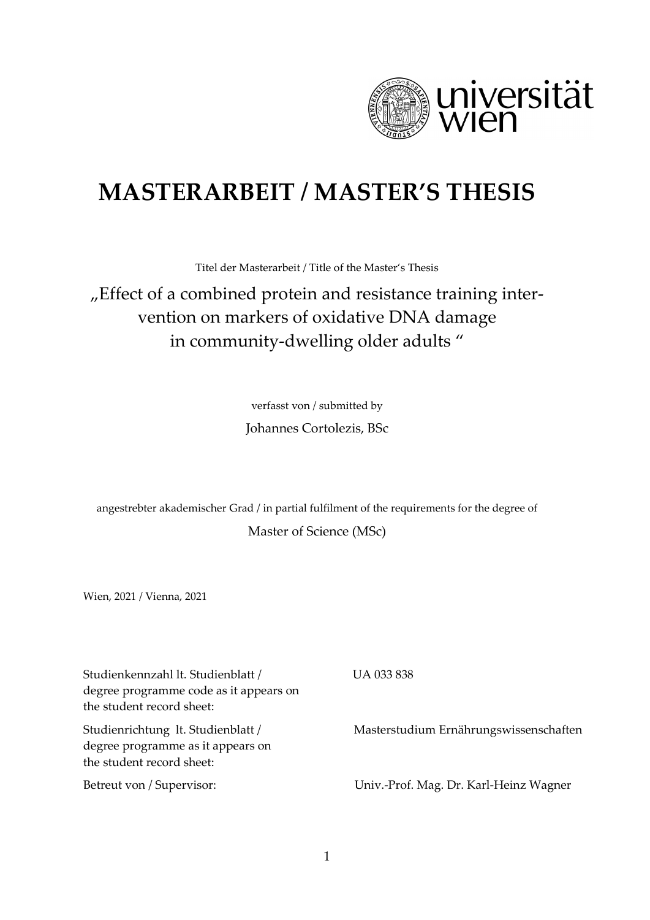

## **MASTERARBEIT / MASTER'S THESIS**

Titel der Masterarbeit / Title of the Master's Thesis

## "Effect of a combined protein and resistance training intervention on markers of oxidative DNA damage in community-dwelling older adults "

verfasst von / submitted by

Johannes Cortolezis, BSc

angestrebter akademischer Grad / in partial fulfilment of the requirements for the degree of Master of Science (MSc)

Wien, 2021 / Vienna, 2021

Studienkennzahl lt. Studienblatt / degree programme code as it appears on the student record sheet: UA 033 838 Studienrichtung lt. Studienblatt / degree programme as it appears on the student record sheet: Masterstudium Ernährungswissenschaften Betreut von / Supervisor: Univ.-Prof. Mag. Dr. Karl-Heinz Wagner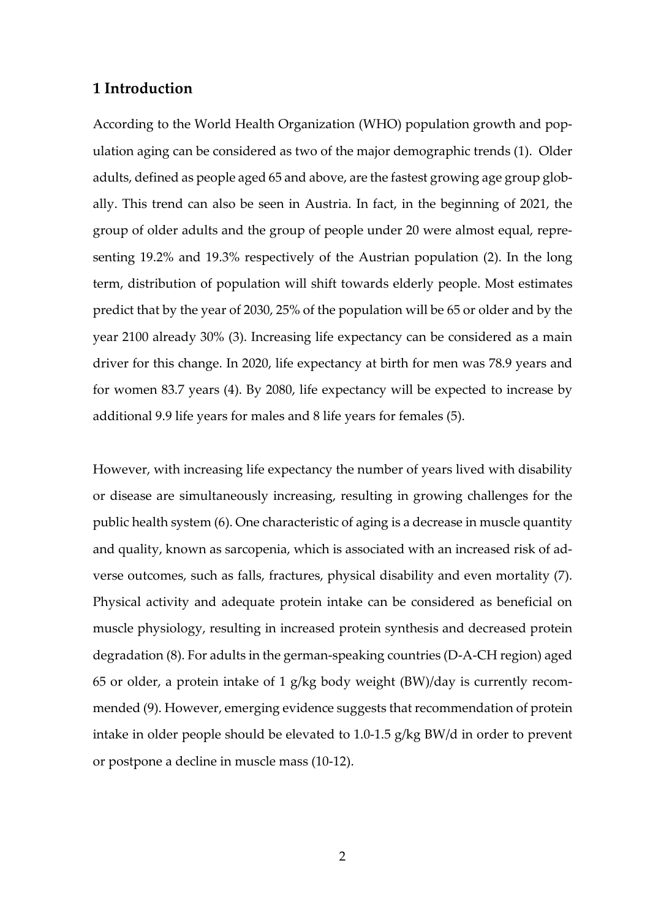## **1 Introduction**

According to the World Health Organization (WHO) population growth and population aging can be considered as two of the major demographic trends (1). Older adults, defined as people aged 65 and above, are the fastest growing age group globally. This trend can also be seen in Austria. In fact, in the beginning of 2021, the group of older adults and the group of people under 20 were almost equal, representing 19.2% and 19.3% respectively of the Austrian population (2). In the long term, distribution of population will shift towards elderly people. Most estimates predict that by the year of 2030, 25% of the population will be 65 or older and by the year 2100 already 30% (3). Increasing life expectancy can be considered as a main driver for this change. In 2020, life expectancy at birth for men was 78.9 years and for women 83.7 years (4). By 2080, life expectancy will be expected to increase by additional 9.9 life years for males and 8 life years for females (5).

However, with increasing life expectancy the number of years lived with disability or disease are simultaneously increasing, resulting in growing challenges for the public health system (6). One characteristic of aging is a decrease in muscle quantity and quality, known as sarcopenia, which is associated with an increased risk of adverse outcomes, such as falls, fractures, physical disability and even mortality (7). Physical activity and adequate protein intake can be considered as beneficial on muscle physiology, resulting in increased protein synthesis and decreased protein degradation (8). For adults in the german-speaking countries (D-A-CH region) aged 65 or older, a protein intake of 1 g/kg body weight (BW)/day is currently recommended (9). However, emerging evidence suggests that recommendation of protein intake in older people should be elevated to 1.0-1.5 g/kg BW/d in order to prevent or postpone a decline in muscle mass (10-12).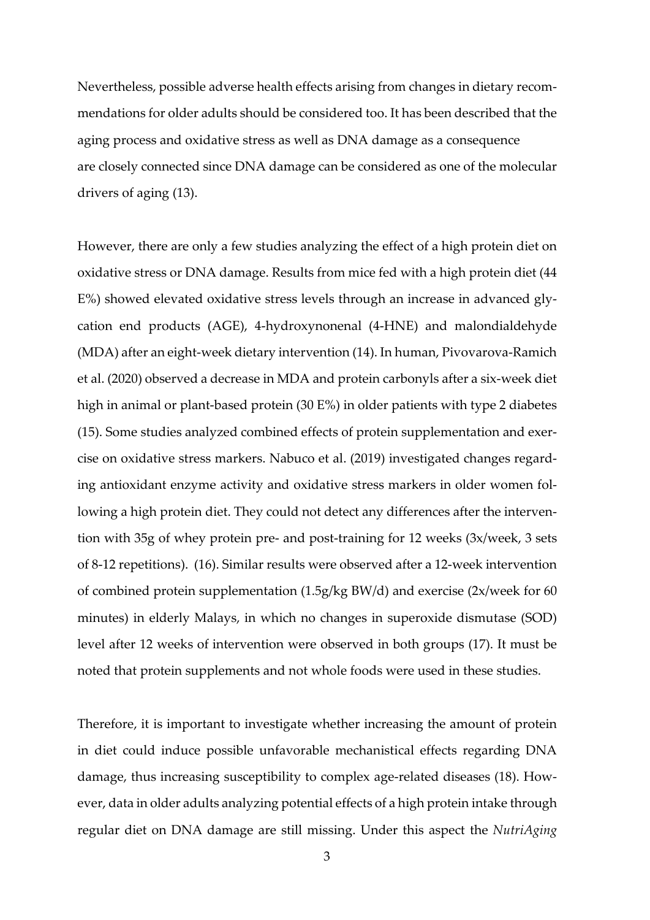Nevertheless, possible adverse health effects arising from changes in dietary recommendations for older adults should be considered too. It has been described that the aging process and oxidative stress as well as DNA damage as a consequence are closely connected since DNA damage can be considered as one of the molecular drivers of aging (13).

However, there are only a few studies analyzing the effect of a high protein diet on oxidative stress or DNA damage. Results from mice fed with a high protein diet (44 E%) showed elevated oxidative stress levels through an increase in advanced glycation end products (AGE), 4-hydroxynonenal (4-HNE) and malondialdehyde (MDA) after an eight-week dietary intervention (14). In human, Pivovarova-Ramich et al. (2020) observed a decrease in MDA and protein carbonyls after a six-week diet high in animal or plant-based protein (30 E%) in older patients with type 2 diabetes (15). Some studies analyzed combined effects of protein supplementation and exercise on oxidative stress markers. Nabuco et al. (2019) investigated changes regarding antioxidant enzyme activity and oxidative stress markers in older women following a high protein diet. They could not detect any differences after the intervention with 35g of whey protein pre- and post-training for 12 weeks (3x/week, 3 sets of 8-12 repetitions). (16). Similar results were observed after a 12-week intervention of combined protein supplementation (1.5g/kg BW/d) and exercise (2x/week for 60 minutes) in elderly Malays, in which no changes in superoxide dismutase (SOD) level after 12 weeks of intervention were observed in both groups (17). It must be noted that protein supplements and not whole foods were used in these studies.

Therefore, it is important to investigate whether increasing the amount of protein in diet could induce possible unfavorable mechanistical effects regarding DNA damage, thus increasing susceptibility to complex age-related diseases (18). However, data in older adults analyzing potential effects of a high protein intake through regular diet on DNA damage are still missing. Under this aspect the *NutriAging*